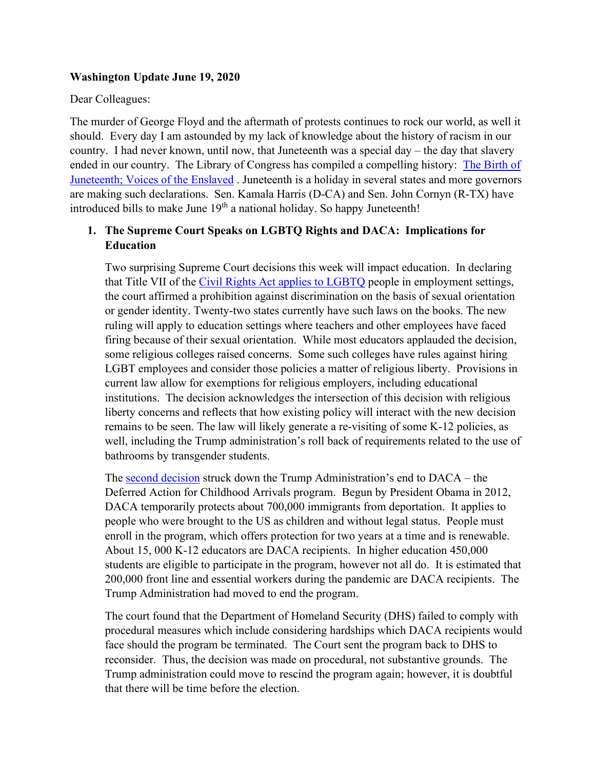#### **Washington Update June 19, 2020**

#### Dear Colleagues:

The murder of George Floyd and the aftermath of protests continues to rock our world, as well it should. Every day I am astounded by my lack of knowledge about the history of racism in our country. I had never known, until now, that Juneteenth was a special day – the day that slavery ended in our country. The Library of Congress has compiled a compelling history: [The Birth of](https://blogs.loc.gov/loc/2020/06/the-birth-of-juneteenth-voices-of-the-enslaved/?loclr=ealocb)  [Juneteenth; Voices of the Enslaved](https://blogs.loc.gov/loc/2020/06/the-birth-of-juneteenth-voices-of-the-enslaved/?loclr=ealocb) . Juneteenth is a holiday in several states and more governors are making such declarations. Sen. Kamala Harris (D-CA) and Sen. John Cornyn (R-TX) have introduced bills to make June  $19<sup>th</sup>$  a national holiday. So happy Juneteenth!

### **1. The Supreme Court Speaks on LGBTQ Rights and DACA: Implications for Education**

Two surprising Supreme Court decisions this week will impact education. In declaring that Title VII of the Civil Rights Act [applies to LGBTQ](https://www.insidehighered.com/news/2020/06/17/religious-colleges-see-conflict-between-supreme-court-ruling-lgbtq-rights-and-their) people in employment settings, the court affirmed a prohibition against discrimination on the basis of sexual orientation or gender identity. Twenty-two states currently have such laws on the books. The new ruling will apply to education settings where teachers and other employees have faced firing because of their sexual orientation. While most educators applauded the decision, some religious colleges raised concerns. Some such colleges have rules against hiring LGBT employees and consider those policies a matter of religious liberty. Provisions in current law allow for exemptions for religious employers, including educational institutions. The decision acknowledges the intersection of this decision with religious liberty concerns and reflects that how existing policy will interact with the new decision remains to be seen. The law will likely generate a re-visiting of some K-12 policies, as well, including the Trump administration's roll back of requirements related to the use of bathrooms by transgender students.

The [second decision](https://www.educationdive.com/news/supreme-court-daca-decision-protects-thousands-of-educators-students/580089/) struck down the Trump Administration's end to DACA – the Deferred Action for Childhood Arrivals program. Begun by President Obama in 2012, DACA temporarily protects about 700,000 immigrants from deportation. It applies to people who were brought to the US as children and without legal status. People must enroll in the program, which offers protection for two years at a time and is renewable. About 15, 000 K-12 educators are DACA recipients. In higher education 450,000 students are eligible to participate in the program, however not all do. It is estimated that 200,000 front line and essential workers during the pandemic are DACA recipients. The Trump Administration had moved to end the program.

The court found that the Department of Homeland Security (DHS) failed to comply with procedural measures which include considering hardships which DACA recipients would face should the program be terminated. The Court sent the program back to DHS to reconsider. Thus, the decision was made on procedural, not substantive grounds. The Trump administration could move to rescind the program again; however, it is doubtful that there will be time before the election.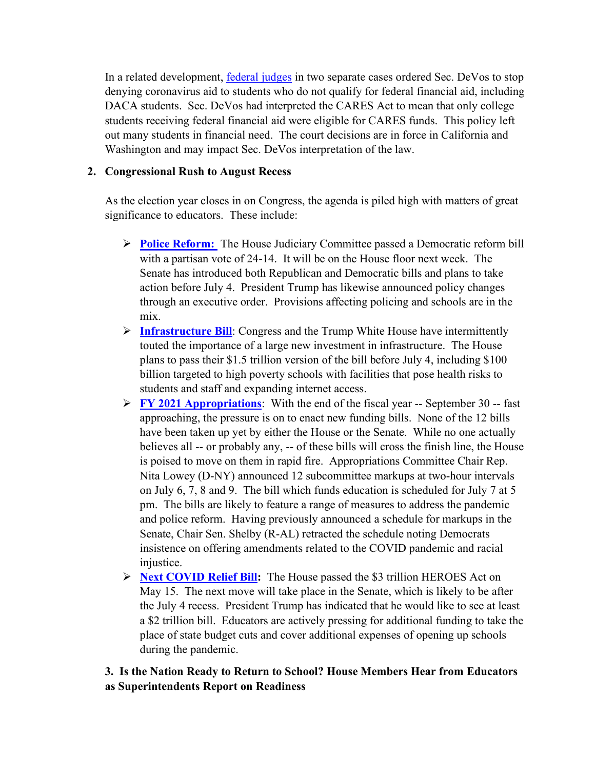In a related development, [federal judges](https://www.washingtonpost.com/education/2020/06/17/california-judge-blocks-betsy-devos-withholding-relief-money-undocumented-students/) in two separate cases ordered Sec. DeVos to stop denying coronavirus aid to students who do not qualify for federal financial aid, including DACA students. Sec. DeVos had interpreted the CARES Act to mean that only college students receiving federal financial aid were eligible for CARES funds. This policy left out many students in financial need. The court decisions are in force in California and Washington and may impact Sec. DeVos interpretation of the law.

## **2. Congressional Rush to August Recess**

As the election year closes in on Congress, the agenda is piled high with matters of great significance to educators. These include:

- **Police Reform:** The House Judiciary Committee passed a Democratic reform bill with a partisan vote of 24-14. It will be on the House floor next week. The Senate has introduced both Republican and Democratic bills and plans to take action before July 4. President Trump has likewise announced policy changes through an executive order. Provisions affecting policing and schools are in the mix.
- **[Infrastructure Bill](https://thehill.com/homenews/house/503427-democrats-unveil-15-trillion-infrastructure-plan)**: Congress and the Trump White House have intermittently touted the importance of a large new investment in infrastructure. The House plans to pass their \$1.5 trillion version of the bill before July 4, including \$100 billion targeted to high poverty schools with facilities that pose health risks to students and staff and expanding internet access.
- **[FY 2021 Appropriations](https://appropriations.house.gov/about)**: With the end of the fiscal year -- September 30 -- fast approaching, the pressure is on to enact new funding bills. None of the 12 bills have been taken up yet by either the House or the Senate. While no one actually believes all -- or probably any, -- of these bills will cross the finish line, the House is poised to move on them in rapid fire. Appropriations Committee Chair Rep. Nita Lowey (D-NY) announced 12 subcommittee markups at two-hour intervals on July 6, 7, 8 and 9. The bill which funds education is scheduled for July 7 at 5 pm. The bills are likely to feature a range of measures to address the pandemic and police reform. Having previously announced a schedule for markups in the Senate, Chair Sen. Shelby (R-AL) retracted the schedule noting Democrats insistence on offering amendments related to the COVID pandemic and racial injustice.
- **[Next COVID Relief Bill:](https://www.nbcnews.com/politics/congress/congress-moving-another-round-coronavirus-relief-here-are-battle-lines-n1212486)** The House passed the \$3 trillion HEROES Act on May 15. The next move will take place in the Senate, which is likely to be after the July 4 recess. President Trump has indicated that he would like to see at least a \$2 trillion bill. Educators are actively pressing for additional funding to take the place of state budget cuts and cover additional expenses of opening up schools during the pandemic.

# **3. Is the Nation Ready to Return to School? House Members Hear from Educators as Superintendents Report on Readiness**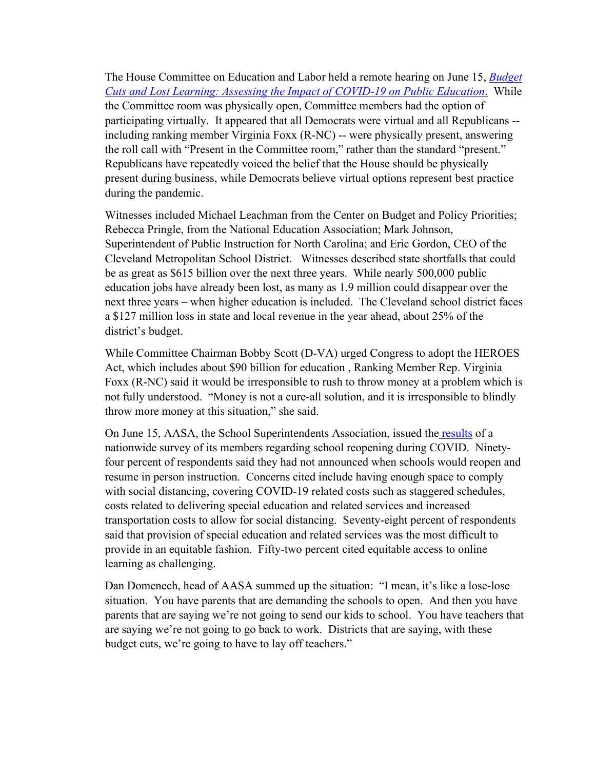The House Committee on Education and Labor held a remote hearing on June 15, *[Budget](https://edlabor.house.gov/hearings/budget-cuts-and-lost-learning-assessing-the-impact-of-covid-19-on-public-education)  [Cuts and Lost Learning: Assessing the Impact of COVID-19](https://edlabor.house.gov/hearings/budget-cuts-and-lost-learning-assessing-the-impact-of-covid-19-on-public-education) on Public Education*. While the Committee room was physically open, Committee members had the option of participating virtually. It appeared that all Democrats were virtual and all Republicans - including ranking member Virginia Foxx (R-NC) -- were physically present, answering the roll call with "Present in the Committee room," rather than the standard "present." Republicans have repeatedly voiced the belief that the House should be physically present during business, while Democrats believe virtual options represent best practice during the pandemic.

Witnesses included Michael Leachman from the Center on Budget and Policy Priorities; Rebecca Pringle, from the National Education Association; Mark Johnson, Superintendent of Public Instruction for North Carolina; and Eric Gordon, CEO of the Cleveland Metropolitan School District. Witnesses described state shortfalls that could be as great as \$615 billion over the next three years. While nearly 500,000 public education jobs have already been lost, as many as 1.9 million could disappear over the next three years – when higher education is included. The Cleveland school district faces a \$127 million loss in state and local revenue in the year ahead, about 25% of the district's budget.

While Committee Chairman Bobby Scott (D-VA) urged Congress to adopt the HEROES Act, which includes about \$90 billion for education , Ranking Member Rep. Virginia Foxx (R-NC) said it would be irresponsible to rush to throw money at a problem which is not fully understood. "Money is not a cure-all solution, and it is irresponsible to blindly throw more money at this situation," she said.

On June 15, AASA, the School Superintendents Association, issued the [results](https://aasa.org/policy-blogs.aspx?id=44802&blogid=84002) of a nationwide survey of its members regarding school reopening during COVID. Ninetyfour percent of respondents said they had not announced when schools would reopen and resume in person instruction. Concerns cited include having enough space to comply with social distancing, covering COVID-19 related costs such as staggered schedules, costs related to delivering special education and related services and increased transportation costs to allow for social distancing. Seventy-eight percent of respondents said that provision of special education and related services was the most difficult to provide in an equitable fashion. Fifty-two percent cited equitable access to online learning as challenging.

Dan Domenech, head of AASA summed up the situation: "I mean, it's like a lose-lose situation. You have parents that are demanding the schools to open. And then you have parents that are saying we're not going to send our kids to school. You have teachers that are saying we're not going to go back to work. Districts that are saying, with these budget cuts, we're going to have to lay off teachers."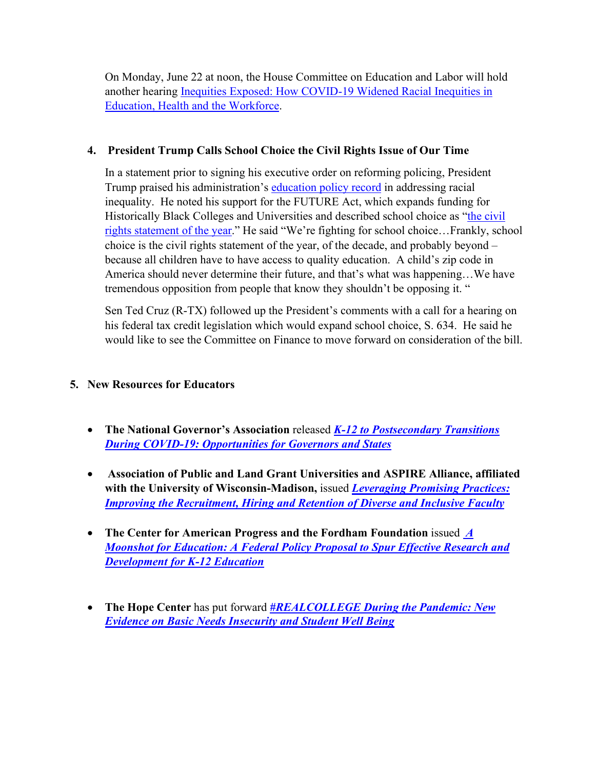On Monday, June 22 at noon, the House Committee on Education and Labor will hold another hearing [Inequities Exposed: How COVID-19 Widened Racial Inequities in](https://edlabor.house.gov/hearings/inequities-exposed-how-covid-19-widened-racial-inequities-in-education-health-and-the-workforce-)  [Education, Health and the Workforce.](https://edlabor.house.gov/hearings/inequities-exposed-how-covid-19-widened-racial-inequities-in-education-health-and-the-workforce-)

## **4. President Trump Calls School Choice the Civil Rights Issue of Our Time**

In a statement prior to signing his executive order on reforming policing, President Trump praised his administration's [education policy record](https://www.washingtonpost.com/local/education/betsy-devos-coronavirus-private-schools/2020/06/15/0c484d94-a50b-11ea-b473-04905b1af82b_story.html) in addressing racial inequality. He noted his support for the FUTURE Act, which expands funding for Historically Black Colleges and Universities and described school choice as ["the civil](https://thehill.com/homenews/administration/502961-trump-calls-school-choice-the-civil-rights-issue-of-the-decade)  [rights statement of the year.](https://thehill.com/homenews/administration/502961-trump-calls-school-choice-the-civil-rights-issue-of-the-decade)" He said "We're fighting for school choice…Frankly, school choice is the civil rights statement of the year, of the decade, and probably beyond – because all children have to have access to quality education. A child's zip code in America should never determine their future, and that's what was happening…We have tremendous opposition from people that know they shouldn't be opposing it. "

Sen Ted Cruz (R-TX) followed up the President's comments with a call for a hearing on his federal tax credit legislation which would expand school choice, S. 634. He said he would like to see the Committee on Finance to move forward on consideration of the bill.

# **5. New Resources for Educators**

- **The National Governor's Association** released *[K-12 to Postsecondary Transitions](https://www.nga.org/wp-content/uploads/2020/06/Covid19-K12-PS-Transitions-Memo.pdf)  [During COVID-19: Opportunities for Governors and States](https://www.nga.org/wp-content/uploads/2020/06/Covid19-K12-PS-Transitions-Memo.pdf)*
- **Association of Public and Land Grant Universities and ASPIRE Alliance, affiliated with the University of Wisconsin-Madison,** issued *[Leveraging Promising Practices:](https://drive.google.com/file/d/10NyWBN9XS-TTyYe9dL8KBSClGodclp4b/view)  [Improving the Recruitment, Hiring and Retention of Diverse and Inclusive Faculty](https://drive.google.com/file/d/10NyWBN9XS-TTyYe9dL8KBSClGodclp4b/view)*
- **The Center for American Progress and the Fordham Foundation** issued *[A](https://fordhaminstitute.org/sites/default/files/publication/pdfs/20200616-moonshot-education-federal-policy-proposal-spur-effective-research-and-development-k-12.pdf)  [Moonshot for Education: A Federal Policy Proposal to Spur Effective Research and](https://fordhaminstitute.org/sites/default/files/publication/pdfs/20200616-moonshot-education-federal-policy-proposal-spur-effective-research-and-development-k-12.pdf)  [Development for K-12 Education](https://fordhaminstitute.org/sites/default/files/publication/pdfs/20200616-moonshot-education-federal-policy-proposal-spur-effective-research-and-development-k-12.pdf)*
- **The Hope Center** has put forward *[#REALCOLLEGE During the Pandemic: New](https://hope4college.com/wp-content/uploads/2020/06/HopeCenter_RealCollegeDuringthePandemic.pdf)  [Evidence on Basic Needs Insecurity and Student Well Being](https://hope4college.com/wp-content/uploads/2020/06/HopeCenter_RealCollegeDuringthePandemic.pdf)*